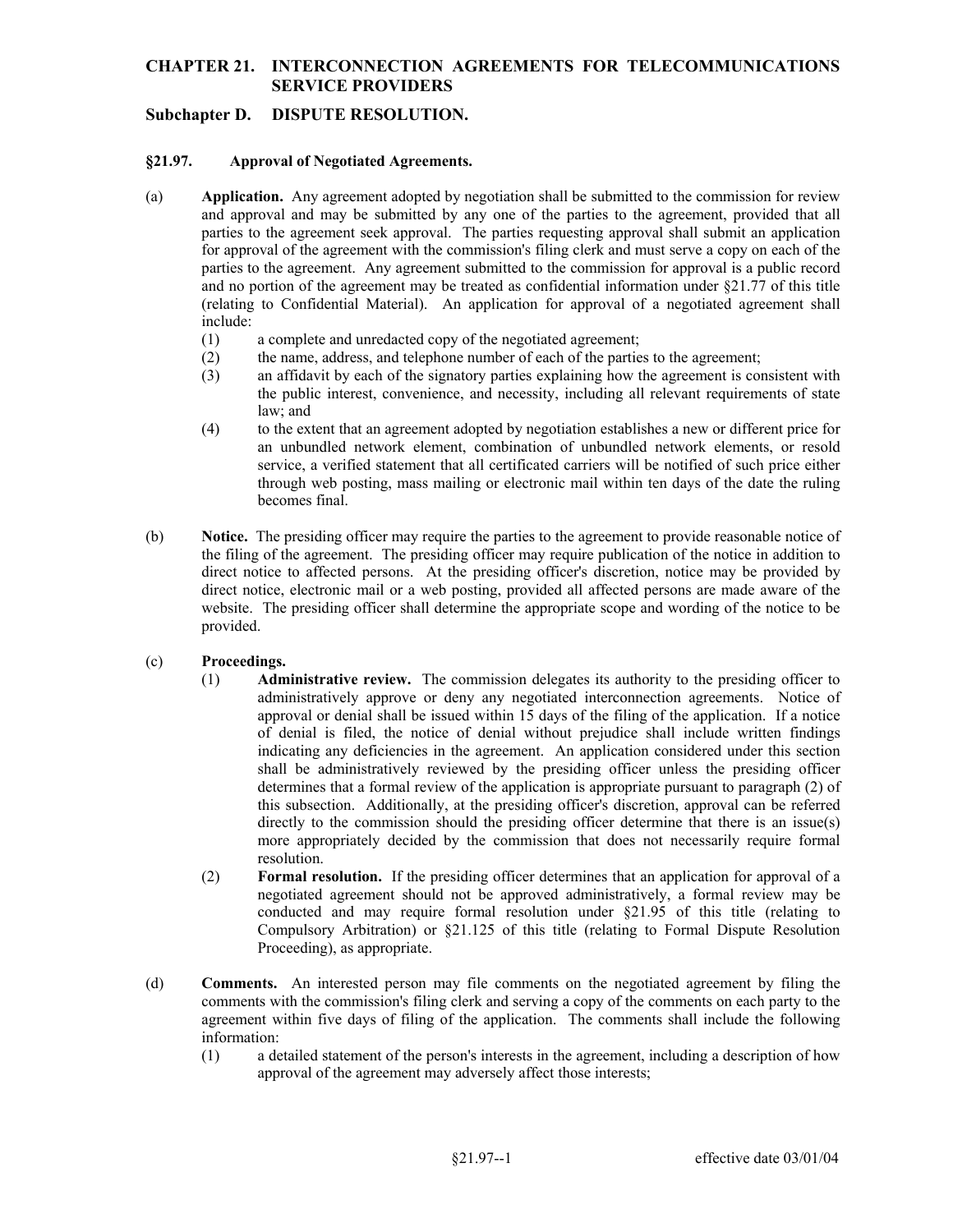## **CHAPTER 21. INTERCONNECTION AGREEMENTS FOR TELECOMMUNICATIONS SERVICE PROVIDERS**

# **Subchapter D. DISPUTE RESOLUTION.**

#### **§21.97. Approval of Negotiated Agreements.**

- (a) **Application.** Any agreement adopted by negotiation shall be submitted to the commission for review and approval and may be submitted by any one of the parties to the agreement, provided that all parties to the agreement seek approval. The parties requesting approval shall submit an application for approval of the agreement with the commission's filing clerk and must serve a copy on each of the parties to the agreement. Any agreement submitted to the commission for approval is a public record and no portion of the agreement may be treated as confidential information under §21.77 of this title (relating to Confidential Material). An application for approval of a negotiated agreement shall include:
	- (1) a complete and unredacted copy of the negotiated agreement;
	- (2) the name, address, and telephone number of each of the parties to the agreement;
	- (3) an affidavit by each of the signatory parties explaining how the agreement is consistent with the public interest, convenience, and necessity, including all relevant requirements of state law; and
	- through web posting, mass mailing or electronic mail within ten days of the date the ruling (4) to the extent that an agreement adopted by negotiation establishes a new or different price for an unbundled network element, combination of unbundled network elements, or resold service, a verified statement that all certificated carriers will be notified of such price either becomes final.
- website. The presiding officer shall determine the appropriate scope and wording of the notice to be (b) **Notice.** The presiding officer may require the parties to the agreement to provide reasonable notice of the filing of the agreement. The presiding officer may require publication of the notice in addition to direct notice to affected persons. At the presiding officer's discretion, notice may be provided by direct notice, electronic mail or a web posting, provided all affected persons are made aware of the provided.

#### (c) **Proceedings.**

- (1) **Administrative review.** The commission delegates its authority to the presiding officer to administratively approve or deny any negotiated interconnection agreements. Notice of approval or denial shall be issued within 15 days of the filing of the application. If a notice of denial is filed, the notice of denial without prejudice shall include written findings indicating any deficiencies in the agreement. An application considered under this section shall be administratively reviewed by the presiding officer unless the presiding officer determines that a formal review of the application is appropriate pursuant to paragraph (2) of this subsection. Additionally, at the presiding officer's discretion, approval can be referred directly to the commission should the presiding officer determine that there is an issue(s) more appropriately decided by the commission that does not necessarily require formal resolution.
- (2) **Formal resolution.** If the presiding officer determines that an application for approval of a negotiated agreement should not be approved administratively, a formal review may be conducted and may require formal resolution under §21.95 of this title (relating to Compulsory Arbitration) or §21.125 of this title (relating to Formal Dispute Resolution Proceeding), as appropriate.
- (d) **Comments.** An interested person may file comments on the negotiated agreement by filing the agreement within five days of filing of the application. The comments shall include the following comments with the commission's filing clerk and serving a copy of the comments on each party to the information:
	- (1) a detailed statement of the person's interests in the agreement, including a description of how approval of the agreement may adversely affect those interests;